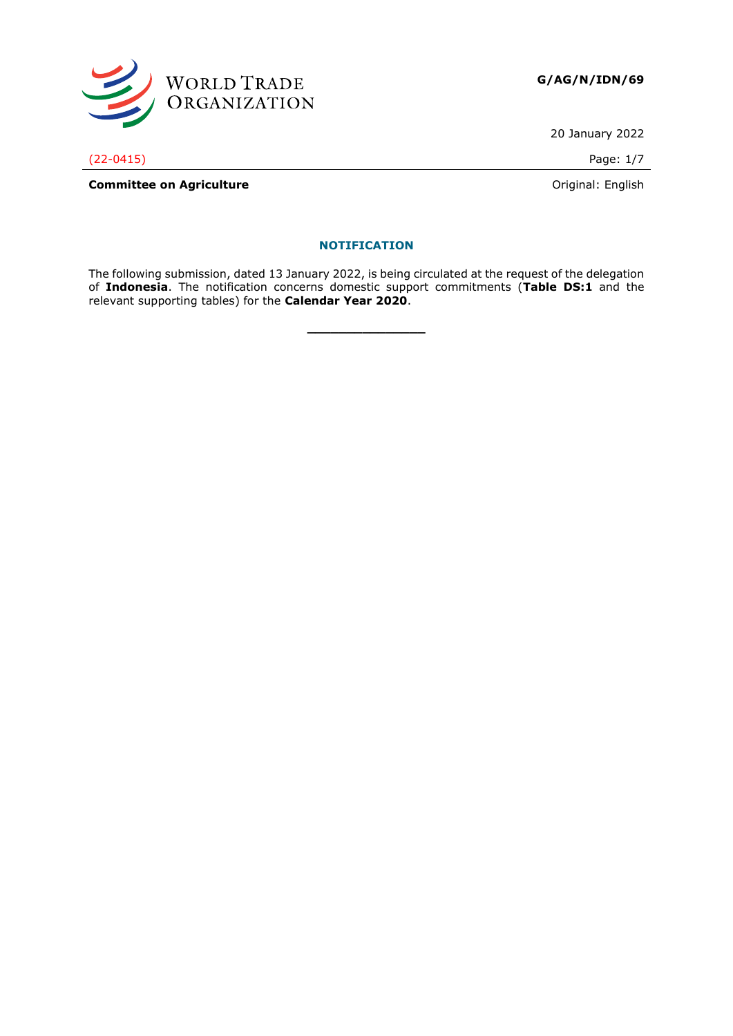

20 January 2022

#### **NOTIFICATION**

The following submission, dated 13 January 2022, is being circulated at the request of the delegation of **Indonesia**. The notification concerns domestic support commitments (**Table DS:1** and the relevant supporting tables) for the **Calendar Year 2020**.

**\_\_\_\_\_\_\_\_\_\_\_\_\_\_\_**

(22-0415) Page: 1/7

**Committee on Agriculture Committee on Agriculture Committee on Agriculture Committee on Agriculture Committee on Agriculture Committee on Agriculture Committee on Agriculture Committee on Agriculture Commi**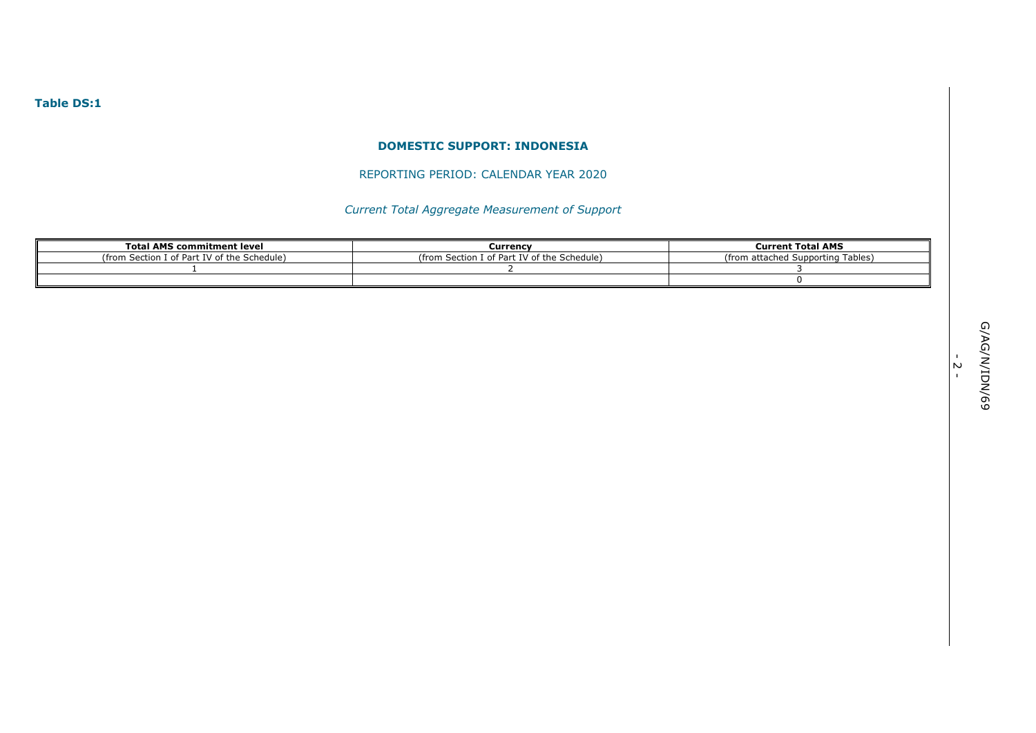## **Table DS:1**

#### **DOMESTIC SUPPORT: INDONESIA**

## REPORTING PERIOD: CALENDAR YEAR 2020

# *Current Total Aggregate Measurement of Support*

| <b>Total AMS commitment level</b>             | Currency                                           | <b>Current Total AMS</b>                       |  |  |
|-----------------------------------------------|----------------------------------------------------|------------------------------------------------|--|--|
| . IV of the Schedule) .<br>(from<br>Costion I | I of Part IV of the Schedule)<br>(from-<br>iection | Supporting Tables)<br>from)<br>n o d<br>attach |  |  |
|                                               |                                                    |                                                |  |  |
|                                               |                                                    |                                                |  |  |

- 2 -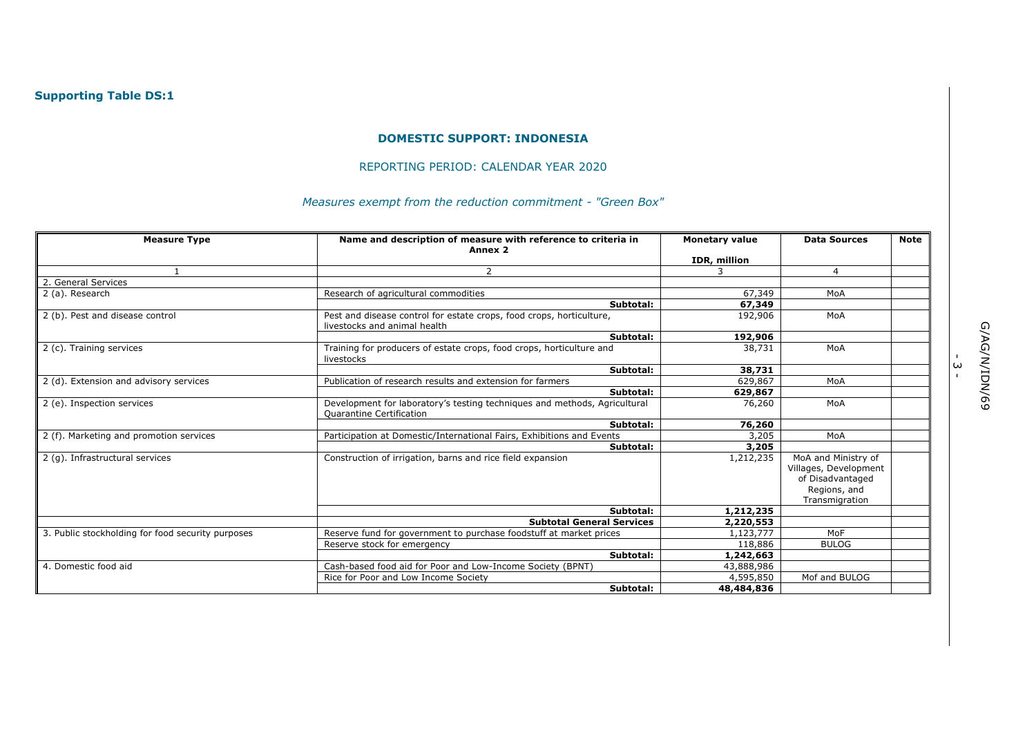#### **DOMESTIC SUPPORT: INDONESIA**

#### REPORTING PERIOD: CALENDAR YEAR 2020

# *Measures exempt from the reduction commitment - "Green Box"*

| <b>Measure Type</b>                               | Name and description of measure with reference to criteria in<br>Annex 2                              | <b>Monetary value</b> | <b>Data Sources</b>                                                                                | <b>Note</b> |  |
|---------------------------------------------------|-------------------------------------------------------------------------------------------------------|-----------------------|----------------------------------------------------------------------------------------------------|-------------|--|
|                                                   |                                                                                                       | IDR, million          |                                                                                                    |             |  |
|                                                   | 2                                                                                                     | 3                     | 4                                                                                                  |             |  |
| 2. General Services                               |                                                                                                       |                       |                                                                                                    |             |  |
| 2 (a). Research                                   | Research of agricultural commodities                                                                  | 67,349                | MoA                                                                                                |             |  |
|                                                   | Subtotal:                                                                                             | 67,349                |                                                                                                    |             |  |
| 2 (b). Pest and disease control                   | Pest and disease control for estate crops, food crops, horticulture,<br>livestocks and animal health  | 192,906               | MoA                                                                                                |             |  |
|                                                   | Subtotal:                                                                                             | 192,906               |                                                                                                    |             |  |
| 2 (c). Training services                          | Training for producers of estate crops, food crops, horticulture and<br>livestocks                    | 38,731                | MoA                                                                                                |             |  |
|                                                   | Subtotal:                                                                                             | 38,731                |                                                                                                    |             |  |
| 2 (d). Extension and advisory services            | Publication of research results and extension for farmers                                             | 629,867               | MoA                                                                                                |             |  |
|                                                   | Subtotal:                                                                                             | 629,867               |                                                                                                    |             |  |
| 2 (e). Inspection services                        | Development for laboratory's testing techniques and methods, Agricultural<br>Quarantine Certification | 76,260                | MoA                                                                                                |             |  |
|                                                   | Subtotal:                                                                                             | 76,260                |                                                                                                    |             |  |
| 2 (f). Marketing and promotion services           | Participation at Domestic/International Fairs, Exhibitions and Events                                 | 3,205                 | MoA                                                                                                |             |  |
|                                                   | Subtotal:                                                                                             | 3,205                 |                                                                                                    |             |  |
| 2 (g). Infrastructural services                   | Construction of irrigation, barns and rice field expansion                                            | 1,212,235             | MoA and Ministry of<br>Villages, Development<br>of Disadvantaged<br>Regions, and<br>Transmigration |             |  |
|                                                   | Subtotal:                                                                                             | 1,212,235             |                                                                                                    |             |  |
|                                                   | <b>Subtotal General Services</b>                                                                      | 2,220,553             |                                                                                                    |             |  |
| 3. Public stockholding for food security purposes | Reserve fund for government to purchase foodstuff at market prices                                    | 1,123,777             | MoF                                                                                                |             |  |
|                                                   | Reserve stock for emergency                                                                           | 118,886               | <b>BULOG</b>                                                                                       |             |  |
|                                                   | Subtotal:                                                                                             | 1,242,663             |                                                                                                    |             |  |
| 4. Domestic food aid                              | Cash-based food aid for Poor and Low-Income Society (BPNT)                                            | 43,888,986            |                                                                                                    |             |  |
|                                                   | Rice for Poor and Low Income Society                                                                  | 4,595,850             | Mof and BULOG                                                                                      |             |  |
|                                                   | Subtotal:                                                                                             | 48,484,836            |                                                                                                    |             |  |

ا<br>سا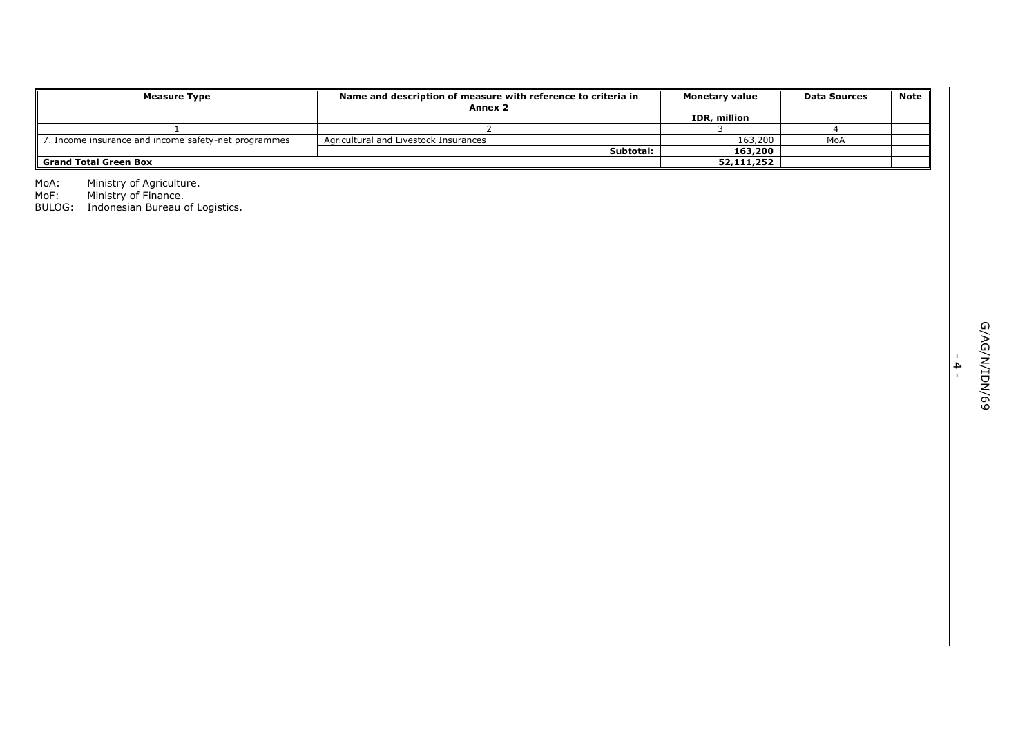| <b>Measure Type</b>                                  | Name and description of measure with reference to criteria in<br>Annex 2 | <b>Monetary value</b> | <b>Data Sources</b> | Note |
|------------------------------------------------------|--------------------------------------------------------------------------|-----------------------|---------------------|------|
|                                                      |                                                                          | IDR, million          |                     |      |
|                                                      |                                                                          |                       |                     |      |
| 7. Income insurance and income safety-net programmes | Agricultural and Livestock Insurances                                    | 163,200               | MoA                 |      |
|                                                      | Subtotal:                                                                | 163,200               |                     |      |
| <b>Grand Total Green Box</b>                         |                                                                          | 52,111,252            |                     |      |

MoA: Ministry of Agriculture.

MoF: Ministry of Finance.

BULOG: Indonesian Bureau of Logistics.

- 4 -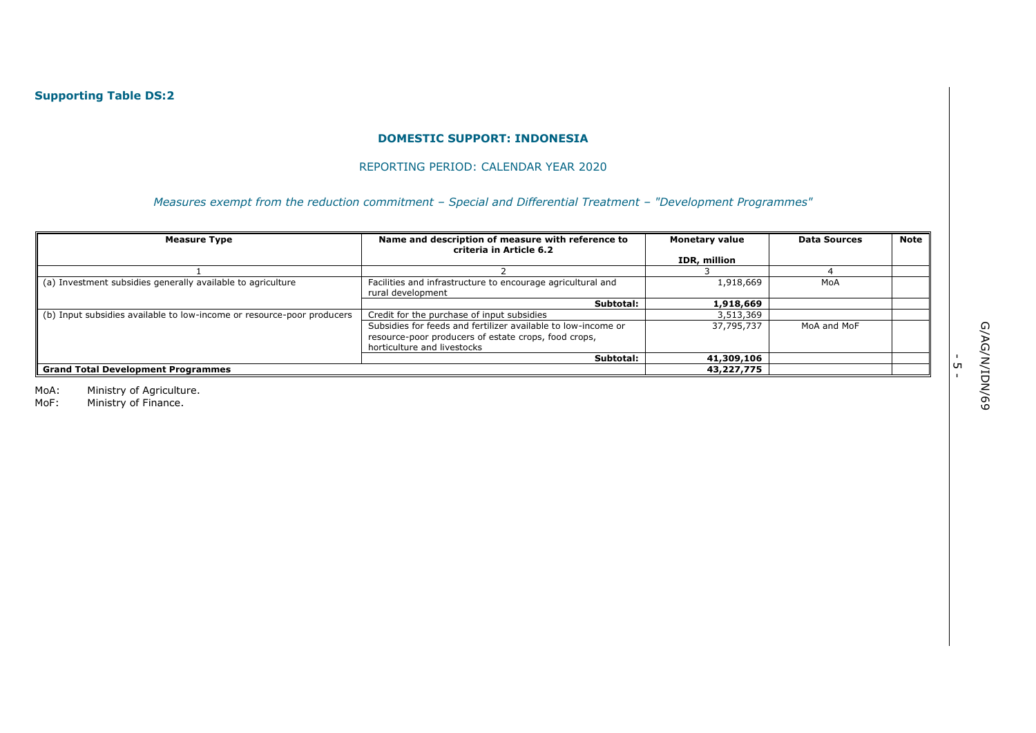#### **DOMESTIC SUPPORT: INDONESIA**

#### REPORTING PERIOD: CALENDAR YEAR 2020

*Measures exempt from the reduction commitment – Special and Differential Treatment – "Development Programmes"* 

| <b>Measure Type</b>                                                    | Name and description of measure with reference to<br>criteria in Article 6.2                                                                         | <b>Monetary value</b> | <b>Data Sources</b> | Note |
|------------------------------------------------------------------------|------------------------------------------------------------------------------------------------------------------------------------------------------|-----------------------|---------------------|------|
|                                                                        |                                                                                                                                                      | IDR, million          |                     |      |
|                                                                        |                                                                                                                                                      |                       |                     |      |
| (a) Investment subsidies generally available to agriculture            | Facilities and infrastructure to encourage agricultural and<br>rural development                                                                     | 1,918,669             | MoA                 |      |
|                                                                        | Subtotal:                                                                                                                                            | 1,918,669             |                     |      |
| (b) Input subsidies available to low-income or resource-poor producers | Credit for the purchase of input subsidies                                                                                                           | 3,513,369             |                     |      |
|                                                                        | Subsidies for feeds and fertilizer available to low-income or<br>resource-poor producers of estate crops, food crops,<br>horticulture and livestocks | 37,795,737            | MoA and MoF         |      |
|                                                                        | Subtotal:                                                                                                                                            | 41,309,106            |                     |      |
| <b>Grand Total Development Programmes</b>                              | 43,227,775                                                                                                                                           |                       |                     |      |

MoA: Ministry of Agriculture.

MoF: Ministry of Finance.

י<br>ה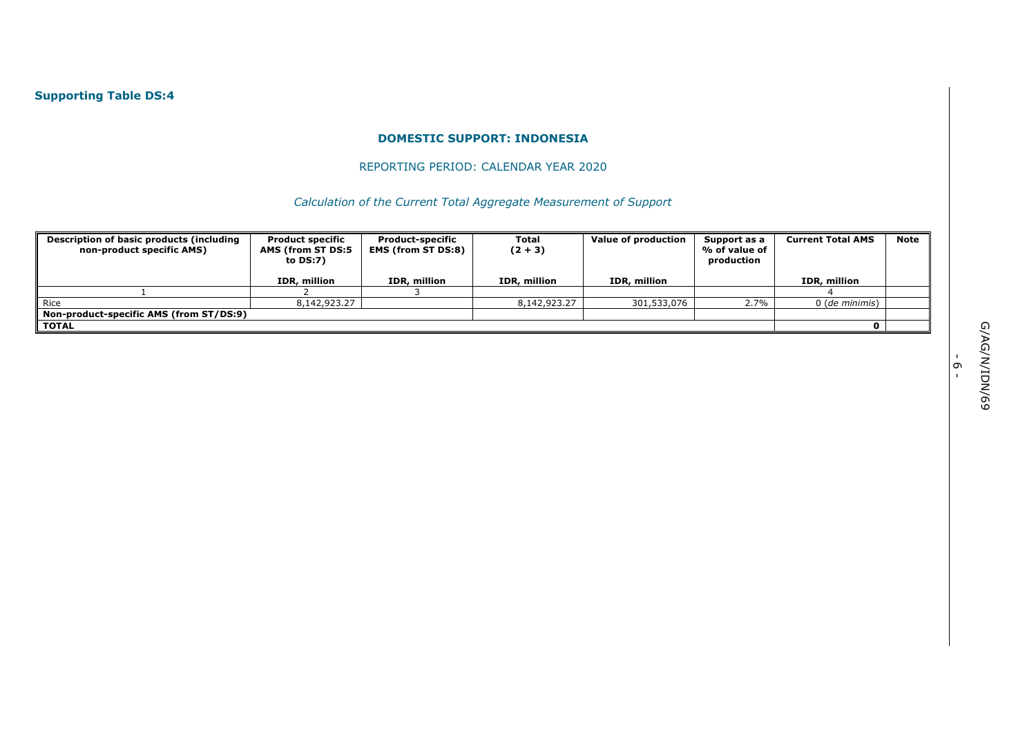# **Supporting Table DS:4**

### **DOMESTIC SUPPORT: INDONESIA**

## REPORTING PERIOD: CALENDAR YEAR 2020

*Calculation of the Current Total Aggregate Measurement of Support* 

| Description of basic products (including<br>non-product specific AMS) | <b>Product specific</b><br>AMS (from ST DS:5<br>to DS:7) | <b>Product-specific</b><br><b>EMS (from ST DS:8)</b> | <b>Total</b><br>$(2 + 3)$ | Value of production | Support as a<br>% of value of<br>production | <b>Current Total AMS</b> | <b>Note</b> |
|-----------------------------------------------------------------------|----------------------------------------------------------|------------------------------------------------------|---------------------------|---------------------|---------------------------------------------|--------------------------|-------------|
|                                                                       | IDR, million                                             | IDR, million                                         | IDR, million              | IDR, million        |                                             | IDR, million             |             |
|                                                                       |                                                          |                                                      |                           |                     |                                             |                          |             |
| Rice                                                                  | 8,142,923.27                                             |                                                      | 8,142,923,27              | 301,533,076         | 2.7%                                        | 0 (de minimis)           |             |
| Non-product-specific AMS (from ST/DS:9)                               |                                                          |                                                      |                           |                     |                                             |                          |             |
| <b>TOTAL</b>                                                          |                                                          |                                                      |                           |                     |                                             |                          |             |

י<br>-